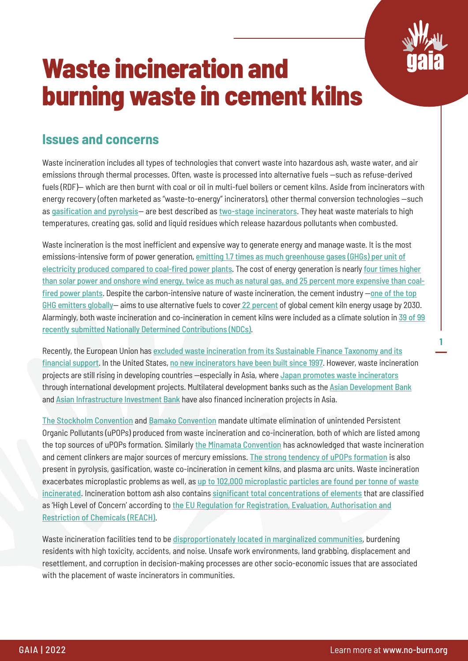

**1**

# **Waste incineration and burning waste in cement kilns**

#### **Issues and concerns**

Waste incineration includes all types of technologies that convert waste into hazardous ash, waste water, and air emissions through thermal processes. Often, waste is processed into alternative fuels —such as refuse-derived fuels (RDF)— which are then burnt with coal or oil in multi-fuel boilers or cement kilns. Aside from incinerators with energy recovery (often marketed as "waste-to-energy" incinerators), other thermal conversion technologies —such as [gasification and pyrolysis](https://www.no-burn.org/wp-content/uploads/2022/02/UNEA-publication-packet_chemical-recycling-and-PTF.pdf)— are best described as [two-stage incinerators](https://ilsr.org/ilsr-advises-hawaii-to-avoid-solid-waste-combustion-as-a-waste-management-strategy/). They heat waste materials to high temperatures, creating gas, solid and liquid residues which release hazardous pollutants when combusted.

Waste incineration is the most inefficient and expensive way to generate energy and manage waste. It is the most emissions-intensive form of power generation, [emitting 1.7 times as much greenhouse gases \(GHGs\) per unit of](https://www.no-burn.org/wp-content/uploads/2021/11/Waste-Incinerators-Undermine-Clean-Energy-Goals-1.pdf) [electricity produced compared to coal-fired power plants](https://www.no-burn.org/wp-content/uploads/2021/11/Waste-Incinerators-Undermine-Clean-Energy-Goals-1.pdf). The cost of energy generation is nearly [four times higher](https://www.no-burn.org/wp-content/uploads/2021/11/The-High-Cost-of-Waste-Incineration-March-30.pdf) [than solar power and onshore wind energy, twice as much as natural gas, and 25 percent more expensive than coal](https://www.no-burn.org/wp-content/uploads/2021/11/The-High-Cost-of-Waste-Incineration-March-30.pdf)[fired power plants](https://www.no-burn.org/wp-content/uploads/2021/11/The-High-Cost-of-Waste-Incineration-March-30.pdf). Despite the carbon-intensive nature of waste incineration, the cement industry —[one of the top](https://www.chathamhouse.org/2018/06/making-concrete-change-innovation-low-carbon-cement-and-concrete) [GHG emitters globally](https://www.chathamhouse.org/2018/06/making-concrete-change-innovation-low-carbon-cement-and-concrete)— aims to use alternative fuels to cover [22 percent](https://gccassociation.org/news/global-cement-and-concrete-industry-announces-roadmap-to-achieve-groundbreaking-net-zero-co2-emissions-by-2050/) of global cement kiln energy usage by 2030. Alarmingly, both waste incineration and co-incineration in cement kilns were included as a climate solution in [39 of 99](https://www.no-burn.org/cop26-ndcs/) [recently submitted Nationally Determined Contributions \(NDCs\)](https://www.no-burn.org/cop26-ndcs/).

Recently, the European Union has [excluded waste incineration from its Sustainable Finance Taxonomy and its](https://zerowasteeurope.eu/2021/05/wte-incineration-no-place-sustainability-agenda/) [financial support](https://zerowasteeurope.eu/2021/05/wte-incineration-no-place-sustainability-agenda/). In the United States, [no new incinerators have been built since 1997](https://www.no-burn.org/u-s-municipal-solid-waste-incinerators-an-industry-in-decline/). However, waste incineration projects are still rising in developing countries —especially in Asia, where [Japan promotes waste incinerators](https://www.mofa.go.jp/ic/ge/page25e_000317.html) through international development projects. Multilateral development banks such as the [Asian Development Bank](https://www.adb.org/sites/default/files/institutional-document/737086/energy-policy-r-paper.pdf) and [Asian Infrastructure Investment Bank](https://www.aiib.org/en/projects/details/2020/approved/Maldives-Greater-Male-Waste-to-Energy-Project.html) have also financed incineration projects in Asia.

[The Stockholm Convention](http://chm.pops.int/TheConvention/Overview/TextoftheConvention/tabid/2232/Default.aspx) and [Bamako Convention](https://www.unep.org/explore-topics/environmental-rights-and-governance/what-we-do/meeting-international-environmental) mandate ultimate elimination of unintended Persistent Organic Pollutants (uPOPs) produced from waste incineration and co-incineration, both of which are listed among the top sources of uPOPs formation. Similarly [the Minamata Convention](https://www.mercuryconvention.org/en/about) has acknowledged that waste incineration and cement clinkers are major sources of mercury emissions. [The strong tendency of uPOPs formation](https://ipen.org/documents/plastic-waste-management-hazards-waste-energy-chemical-recycling-and-plastic-fuels) is also present in pyrolysis, gasification, waste co-incineration in cement kilns, and plasma arc units. Waste incineration exacerbates microplastic problems as well, as [up to 102,000 microplastic particles are found per tonne of waste](https://www.sciencedirect.com/science/article/abs/pii/S0304389420314187) [incinerated](https://www.sciencedirect.com/science/article/abs/pii/S0304389420314187). Incineration bottom ash also contains [significant total concentrations of elements](https://zerowasteeurope.eu/library/toxic-fallout-waste-incinerator-bottom-ash-in-a-circular-economy/) that are classified as 'High Level of Concern' according to [the EU Regulation for Registration, Evaluation, Authorisation and](https://osha.europa.eu/en/themes/dangerous-substances/reach) [Restriction of Chemicals \(REACH\)](https://osha.europa.eu/en/themes/dangerous-substances/reach).

Waste incineration facilities tend to be [disproportionately](https://www.liebertpub.com/doi/10.1089/env.2015.0022) [located in marginalized communities](https://www.liebertpub.com/doi/10.1089/env.2015.0022), burdening residents with high toxicity, accidents, and noise. Unsafe work environments, land grabbing, displacement and resettlement, and corruption in decision-making processes are other socio-economic issues that are associated with the placement of waste incinerators in communities.